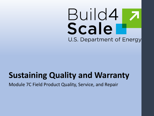# Build4 Scale U.S. Department of Energy

## **Sustaining Quality and Warranty**

Module 7C Field Product Quality, Service, and Repair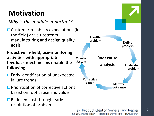#### **Motivation**

*Why is this module important?*

 $\Box$  Customer reliability expectations (in the field) drive upstream manufacturing and design quality goals

**Proactive in -field, use -monitoring activities with appropriate feedback mechanisms enable the following** :

- $\Box$  Early identification of unexpected failure trends
- $\square$  Prioritization of corrective actions based on root cause and value
- $\Box$  Reduced cost through early resolution of problems



**Field Product Quality, Service, and Repair** 

LLS DEPARTMENT OF ENFRGY . OFFICE OF ENFRGY FEEICIENCY & RENEWABLE ENFRGY

 $\overline{\phantom{a}}$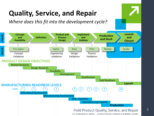

3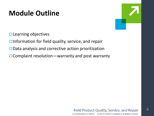#### **Module Outline**

 $\square$  Learning objectives

 $\Box$  Information for field quality, service, and repair

- $\square$  Data analysis and corrective action prioritization
- $\Box$  Complaint resolution—warranty and post warranty



4

#### **Field Product Quality, Service, and Repair** U.S. DEPARTMENT OF ENERGY . OFFICE OF ENERGY EFFICIENCY & RENEWABLE ENERGY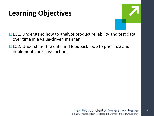#### **Learning Objectives**



- $\Box$  LO1. Understand how to analyze product reliability and test data over time in a value-driven manner
- □ LO2. Understand the data and feedback loop to prioritize and implement corrective actions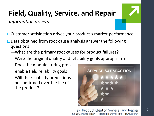# **Field, Quality, Service, and Repair**

*Information drivers*

□ Customer satisfaction drives your product's market performance

- $\square$  Data obtained from root cause analysis answer the following questions:
	- —What are the primary root causes for product failures?
	- —Were the original quality and reliability goals appropriate?
	- —Does the manufacturing process enable field reliability goals?
	- —Will the reliability predictions be confirmed over the life of the product?



#### **Field Product Quality, Service, and Repair** LLS DEPARTMENT OF ENFRGY . OFFICE OF ENFRGY FEEICIENCY & RENEWABLE ENFRGY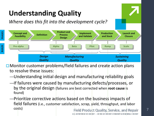# **Understanding Quality**

*Where does this fit into the development cycle?*



- $\square$  Monitor customer problems/field failures and create action plans to resolve these issues:
	- —Understanding initial design and manufacturing reliability goals
	- —If failures were caused by manufacturing defects/processes, or by the original design (failures are best corrected when **root cause** is found)
	- —Prioritize corrective actions based on the business impacts of field failures (i.e., customer satisfaction, scrap, yield, throughput, and labor costs) **Field Product Quality, Service, and Repair**

U.S. DEPARTMENT OF ENERGY . OFFICE OF ENERGY EFFICIENCY & RENEWABLE ENERGY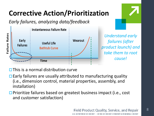### **Corrective Action/Prioritization**

*Early failures, analyzing data/feedback* 



*Understand early failures (after product launch) and take them to root* 

 $\Box$  This is a normal distribution curve

- $\Box$  Early failures are usually attributed to manufacturing quality (i.e., dimension control, material properties, assembly, and installation)
- □ Prioritize failures based on greatest business impact (i.e., cost and customer satisfaction)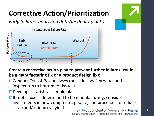## **Corrective Action/Prioritization**

*Early failures, analyzing data/feedback (cont.)* 





**Create a corrective action plan to prevent further failures (could be a manufacturing fix or a product design fix)**:

- □ Conduct Out-of-Box analyses (pull "finished" product and inspect top to bottom for issues)
- $\Box$  Develop a statistical sample plan

 $\Box$  If root cause is determined to be manufacturing, consider investments in new equipment, people, and processes to reduce scrap and/or improve yield **Field Product Quality, Service, and Repair**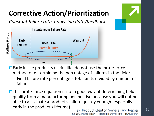### **Corrective Action/Prioritization**

*Constant failure rate, analyzing data/feedback*



 $\Box$  Early in the product's useful life, do not use the brute-force method of determining the percentage of failures in the field:

- —Field failure rate percentage = total units divided by number of failures
- $\Box$  This brute-force equation is not a good way of determining field quality from a manufacturing perspective because you will not be able to anticipate a product's failure quickly enough (especially early in the product's lifetime) **Field Product Quality, Service, and Repair**

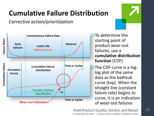#### **Cumulative Failure Distribution**

*Corrective action/prioritization*



 $\square$  To determine the starting point of product wear-out failures, use a **cumulative distribution function** (CDF)  $\square$  The CDF curve is a loglog plot of the same data as the bathtub curve (top). When the straight line (constant failure rate) begins to curve, it is an indication of wear-out failures

#### **Field Product Quality, Service, and Repair**

LLS DEPARTMENT OF ENFRGY . OFFICE OF ENFRGY FEEICIENCY & RENEWABLE ENFRGY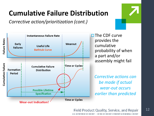#### **Cumulative Failure Distribution**

*Corrective action/prioritization (cont.)*



 $\square$  The CDF curve provides the cumulative probability of when a part and/or assembly might fail

*Corrective actions can be made if actual wear-out occurs earlier than predicted*

#### **Field Product Quality, Service, and Repair**

LLS DEPARTMENT OF ENFRGY . OFFICE OF ENFRGY FEEICIENCY & RENEWABLE ENFRGY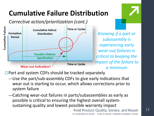#### **Cumulative Failure Distribution**

*Corrective action/prioritization (cont.)*



*Knowing if a part or subassembly is experiencing early wear-out failures is critical to keeping the impact of the failure to a minimum*

 $\Box$  Part and system CDFs should be tracked separately

- —Use the part/sub-assembly CDFs to give early indications that wear out is starting to occur, which allows corrections prior to system failure
- —Catching wear-out failures in parts/subassemblies as early as possible is critical to ensuring the highest overall systemsustaining quality and lowest possible warranty impact

**Field Product Quality, Service, and Repair** "PARTMENT OF ENERGY . OFFICE OF ENERGY FEEICIENCY & RENEWABLE ENERGY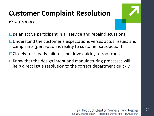#### **Customer Complaint Resolution**

*Best practices*

14

- $\Box$  Be an active participant in all service and repair discussions
- $\Box$  Understand the customer's expectations versus actual issues and complaints (perception is reality to customer satisfaction)
- □ Closely track early failures and drive quickly to root causes
- $\Box$  Know that the design intent and manufacturing processes will help direct issue resolution to the correct department quickly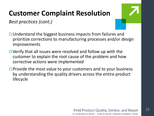#### **Customer Complaint Resolution**

*Best practices (cont.)*

- $\Box$  Understand the biggest business impacts from failures and prioritize corrections to manufacturing processes and/or design improvements
- $\Box$  Verify that all issues were resolved and follow up with the customer to explain the root cause of the problem and how corrective actions were implemented
- $\Box$  Provide the most value to your customers and to your business by understanding the quality drivers across the entire product lifecycle